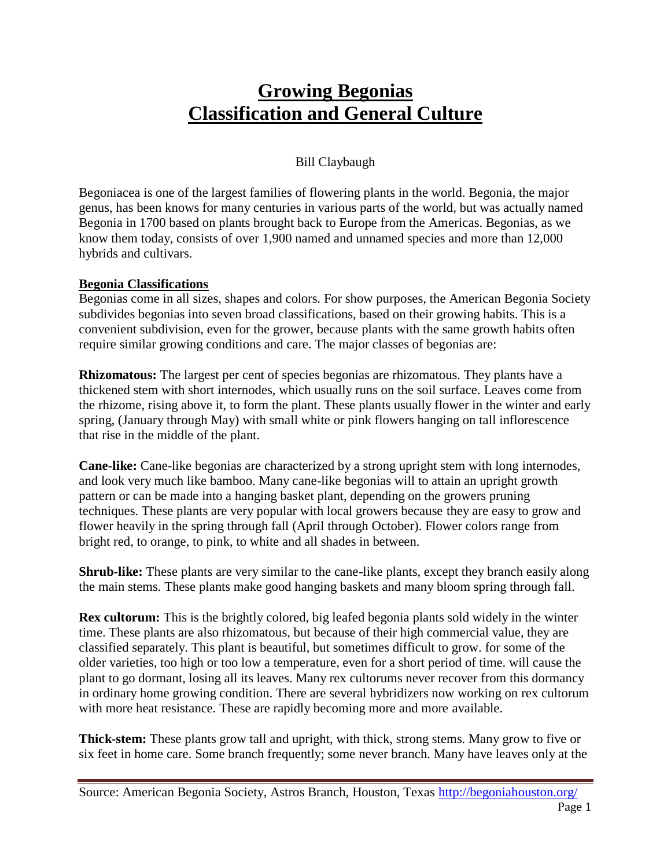## **Growing Begonias Classification and General Culture**

## Bill Claybaugh

Begoniacea is one of the largest families of flowering plants in the world. Begonia, the major genus, has been knows for many centuries in various parts of the world, but was actually named Begonia in 1700 based on plants brought back to Europe from the Americas. Begonias, as we know them today, consists of over 1,900 named and unnamed species and more than 12,000 hybrids and cultivars.

## **Begonia Classifications**

Begonias come in all sizes, shapes and colors. For show purposes, the American Begonia Society subdivides begonias into seven broad classifications, based on their growing habits. This is a convenient subdivision, even for the grower, because plants with the same growth habits often require similar growing conditions and care. The major classes of begonias are:

**Rhizomatous:** The largest per cent of species begonias are rhizomatous. They plants have a thickened stem with short internodes, which usually runs on the soil surface. Leaves come from the rhizome, rising above it, to form the plant. These plants usually flower in the winter and early spring, (January through May) with small white or pink flowers hanging on tall inflorescence that rise in the middle of the plant.

**Cane-like:** Cane-like begonias are characterized by a strong upright stem with long internodes, and look very much like bamboo. Many cane-like begonias will to attain an upright growth pattern or can be made into a hanging basket plant, depending on the growers pruning techniques. These plants are very popular with local growers because they are easy to grow and flower heavily in the spring through fall (April through October). Flower colors range from bright red, to orange, to pink, to white and all shades in between.

**Shrub-like:** These plants are very similar to the cane-like plants, except they branch easily along the main stems. These plants make good hanging baskets and many bloom spring through fall.

**Rex cultorum:** This is the brightly colored, big leafed begonia plants sold widely in the winter time. These plants are also rhizomatous, but because of their high commercial value, they are classified separately. This plant is beautiful, but sometimes difficult to grow. for some of the older varieties, too high or too low a temperature, even for a short period of time. will cause the plant to go dormant, losing all its leaves. Many rex cultorums never recover from this dormancy in ordinary home growing condition. There are several hybridizers now working on rex cultorum with more heat resistance. These are rapidly becoming more and more available.

**Thick-stem:** These plants grow tall and upright, with thick, strong stems. Many grow to five or six feet in home care. Some branch frequently; some never branch. Many have leaves only at the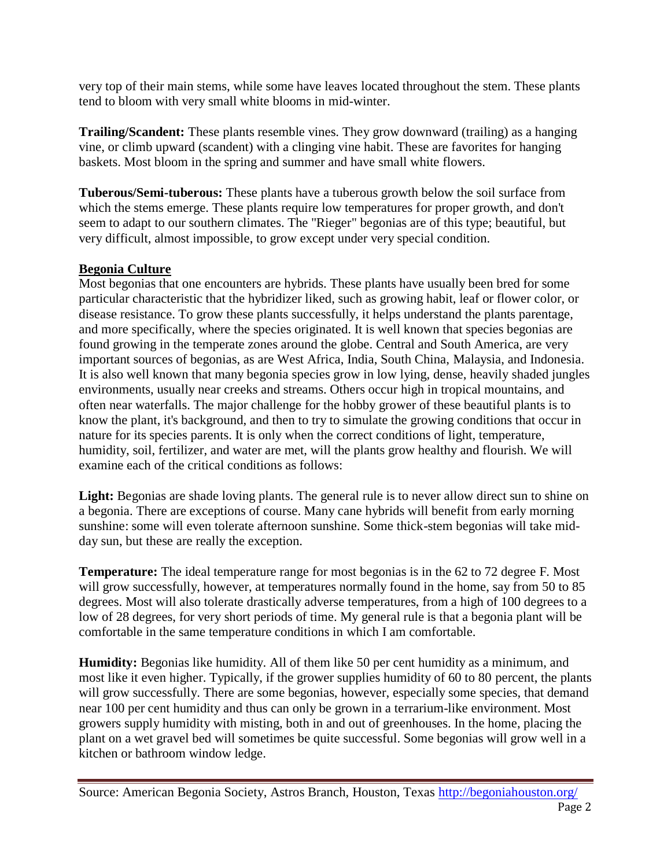very top of their main stems, while some have leaves located throughout the stem. These plants tend to bloom with very small white blooms in mid-winter.

**Trailing/Scandent:** These plants resemble vines. They grow downward (trailing) as a hanging vine, or climb upward (scandent) with a clinging vine habit. These are favorites for hanging baskets. Most bloom in the spring and summer and have small white flowers.

**Tuberous/Semi-tuberous:** These plants have a tuberous growth below the soil surface from which the stems emerge. These plants require low temperatures for proper growth, and don't seem to adapt to our southern climates. The "Rieger" begonias are of this type; beautiful, but very difficult, almost impossible, to grow except under very special condition.

## **Begonia Culture**

Most begonias that one encounters are hybrids. These plants have usually been bred for some particular characteristic that the hybridizer liked, such as growing habit, leaf or flower color, or disease resistance. To grow these plants successfully, it helps understand the plants parentage, and more specifically, where the species originated. It is well known that species begonias are found growing in the temperate zones around the globe. Central and South America, are very important sources of begonias, as are West Africa, India, South China, Malaysia, and Indonesia. It is also well known that many begonia species grow in low lying, dense, heavily shaded jungles environments, usually near creeks and streams. Others occur high in tropical mountains, and often near waterfalls. The major challenge for the hobby grower of these beautiful plants is to know the plant, it's background, and then to try to simulate the growing conditions that occur in nature for its species parents. It is only when the correct conditions of light, temperature, humidity, soil, fertilizer, and water are met, will the plants grow healthy and flourish. We will examine each of the critical conditions as follows:

Light: Begonias are shade loving plants. The general rule is to never allow direct sun to shine on a begonia. There are exceptions of course. Many cane hybrids will benefit from early morning sunshine: some will even tolerate afternoon sunshine. Some thick-stem begonias will take midday sun, but these are really the exception.

**Temperature:** The ideal temperature range for most begonias is in the 62 to 72 degree F. Most will grow successfully, however, at temperatures normally found in the home, say from 50 to 85 degrees. Most will also tolerate drastically adverse temperatures, from a high of 100 degrees to a low of 28 degrees, for very short periods of time. My general rule is that a begonia plant will be comfortable in the same temperature conditions in which I am comfortable.

**Humidity:** Begonias like humidity. All of them like 50 per cent humidity as a minimum, and most like it even higher. Typically, if the grower supplies humidity of 60 to 80 percent, the plants will grow successfully. There are some begonias, however, especially some species, that demand near 100 per cent humidity and thus can only be grown in a terrarium-like environment. Most growers supply humidity with misting, both in and out of greenhouses. In the home, placing the plant on a wet gravel bed will sometimes be quite successful. Some begonias will grow well in a kitchen or bathroom window ledge.